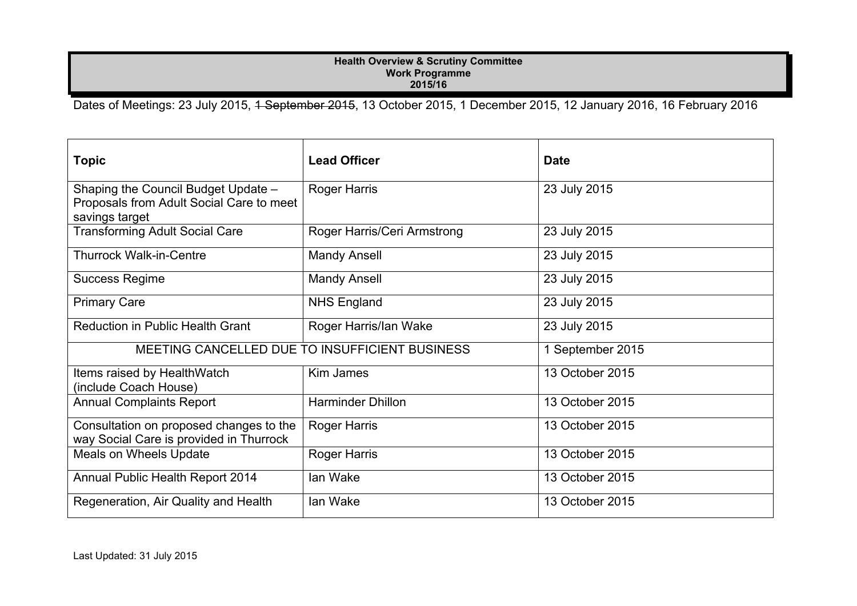## **Health Overview & Scrutiny Committee Work Programme 2015/16**

Dates of Meetings: 23 July 2015, <del>1 September 2015</del>, 13 October 2015, 1 December 2015, 12 January 2016, 16 February 2016

| <b>Topic</b>                                                                                      | <b>Lead Officer</b>                            | <b>Date</b>      |
|---------------------------------------------------------------------------------------------------|------------------------------------------------|------------------|
| Shaping the Council Budget Update -<br>Proposals from Adult Social Care to meet<br>savings target | <b>Roger Harris</b>                            | 23 July 2015     |
| <b>Transforming Adult Social Care</b>                                                             | Roger Harris/Ceri Armstrong                    | 23 July 2015     |
| <b>Thurrock Walk-in-Centre</b>                                                                    | <b>Mandy Ansell</b>                            | 23 July 2015     |
| <b>Success Regime</b>                                                                             | <b>Mandy Ansell</b>                            | 23 July 2015     |
| <b>Primary Care</b>                                                                               | <b>NHS England</b>                             | 23 July 2015     |
| <b>Reduction in Public Health Grant</b>                                                           | Roger Harris/lan Wake                          | 23 July 2015     |
|                                                                                                   | MEETING CANCELLED DUE TO INSUFFICIENT BUSINESS | 1 September 2015 |
| Items raised by HealthWatch<br>(include Coach House)                                              | Kim James                                      | 13 October 2015  |
| <b>Annual Complaints Report</b>                                                                   | <b>Harminder Dhillon</b>                       | 13 October 2015  |
| Consultation on proposed changes to the<br>way Social Care is provided in Thurrock                | <b>Roger Harris</b>                            | 13 October 2015  |
| Meals on Wheels Update                                                                            | <b>Roger Harris</b>                            | 13 October 2015  |
| Annual Public Health Report 2014                                                                  | lan Wake                                       | 13 October 2015  |
| Regeneration, Air Quality and Health                                                              | lan Wake                                       | 13 October 2015  |